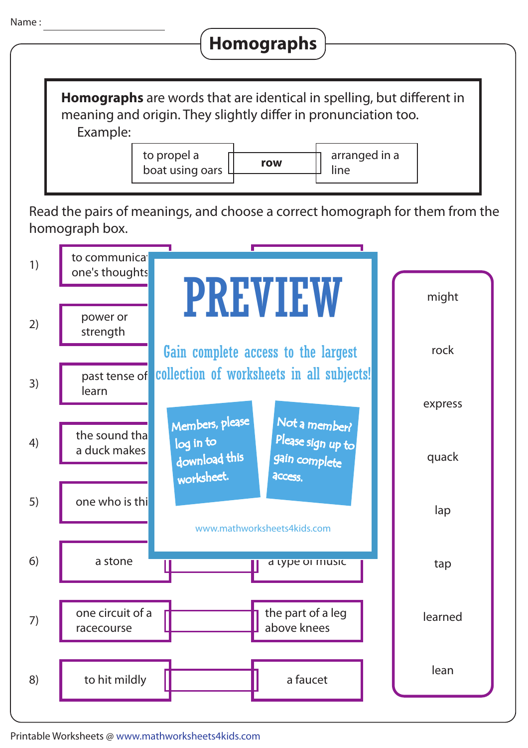

## **Homographs**

**Homographs** are words that are identical in spelling, but different in meaning and origin. They slightly differ in pronunciation too. Example:

> **row** to propel a boat using oars

arranged in a line

Read the pairs of meanings, and choose a correct homograph for them from the homograph box.



Printable Worksheets @ www.mathworksheets4kids.com